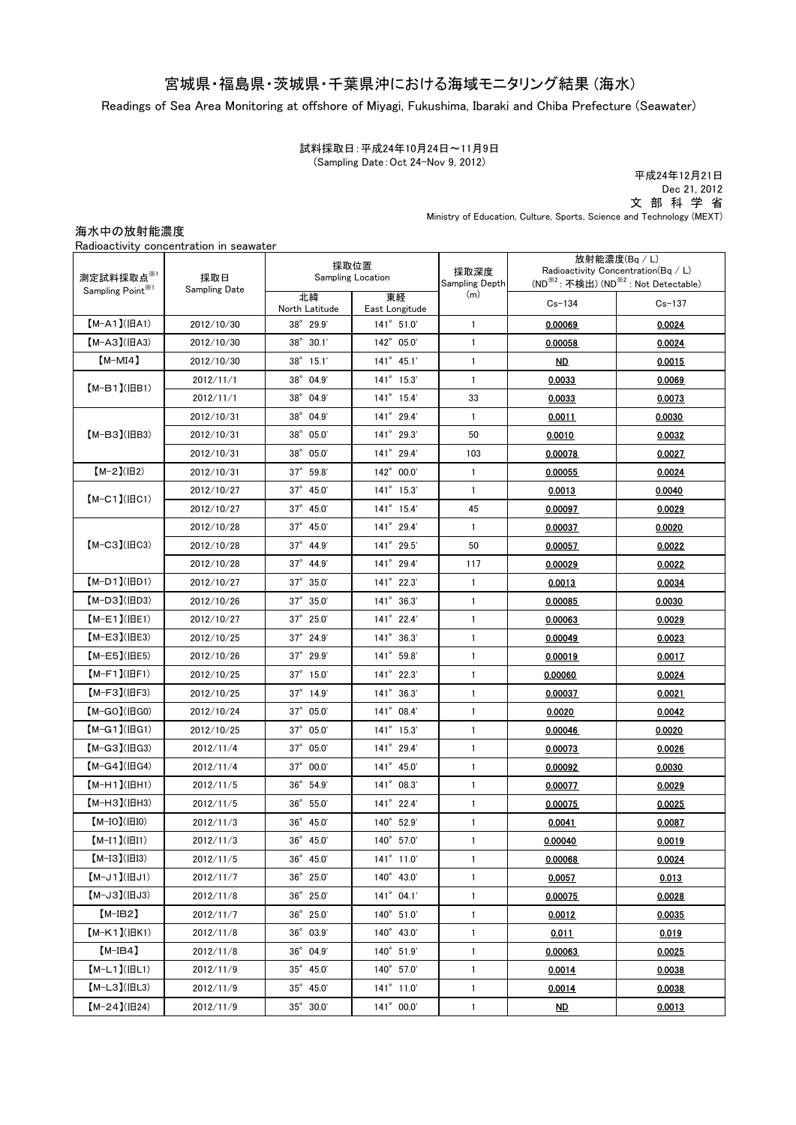# 宮城県・福島県・茨城県・千葉県沖における海域モニタリング結果 (海水)

Readings of Sea Area Monitoring at offshore of Miyagi, Fukushima, Ibaraki and Chiba Prefecture (Seawater)

試料採取日:平成24年10月24日~11月9日 (Sampling Date:Oct 24-Nov 9, 2012)

 文 部 科 学 省 Ministry of Education, Culture, Sports, Science and Technology (MEXT) 平成24年12月21日 Dec 21, 2012

海水中の放射能濃度

|                                            | Radioactivity concentration in seawater |                                  |                      |                        |                                                                                                                      |               |
|--------------------------------------------|-----------------------------------------|----------------------------------|----------------------|------------------------|----------------------------------------------------------------------------------------------------------------------|---------------|
| 測定試料採取点※1<br>Sampling Point <sup>361</sup> | 採取日<br><b>Sampling Date</b>             | 採取位置<br><b>Sampling Location</b> |                      | 採取深度<br>Sampling Depth | 放射能濃度(Bq / L)<br>Radioactivity Concentration(Bq / L)<br>(ND <sup>※2</sup> : 不検出) (ND <sup>※2</sup> : Not Detectable) |               |
|                                            |                                         | 北緯<br>North Latitude             | 東経<br>East Longitude | (m)                    | $Cs - 134$                                                                                                           | $Cs - 137$    |
| $[M-A1](HA1)$                              | 2012/10/30                              | $38^{\circ}$ 29.9'               | 141° 51.0'           | $\mathbf{1}$           | 0.00069                                                                                                              | 0.0024        |
| $[M-A3](HA3)$                              | 2012/10/30                              | 38° 30.1'                        | 142° 05.0'           | $\mathbf{1}$           | 0.00058                                                                                                              | 0.0024        |
| $[M-MI4]$                                  | 2012/10/30                              | $38^{\circ}$ 15.1'               | $141^{\circ}$ 45.1'  | $\mathbf{1}$           | ND.                                                                                                                  | 0.0015        |
| $[M-B1]$ ( $ BB1$ )                        | 2012/11/1                               | $38^{\circ}$ 04.9'               | $141^{\circ}$ 15.3'  | $\mathbf{1}$           | 0.0033                                                                                                               | 0.0069        |
|                                            | 2012/11/1                               | 38° 04.9'                        | 141° 15.4'           | 33                     | 0.0033                                                                                                               | 0.0073        |
| $[M-B3]$ ( $ BB3$ )                        | 2012/10/31                              | $38^{\circ}$ 04.9'               | $141^{\circ}$ 29.4'  | $\mathbf{1}$           | 0.0011                                                                                                               | 0.0030        |
|                                            | 2012/10/31                              | 38° 05.0'                        | 141° 29.3'           | 50                     | 0.0010                                                                                                               | 0.0032        |
|                                            | 2012/10/31                              | 38° 05.0'                        | 141° 29.4'           | 103                    | 0.00078                                                                                                              | 0.0027        |
| $[M-2](H2)$                                | 2012/10/31                              | $37^{\circ}$ 59.8'               | 142° 00.0'           | 1                      | 0.00055                                                                                                              | 0.0024        |
| $[M-C1]$ ( $ BC1$ )                        | 2012/10/27                              | 37° 45.0'                        | $141^{\circ}$ 15.3'  | 1                      | 0.0013                                                                                                               | 0.0040        |
|                                            | 2012/10/27                              | $37^{\circ}$ 45.0'               | $141^{\circ}$ 15.4'  | 45                     | 0.00097                                                                                                              | 0.0029        |
| $[M-C3](BC3)$                              | 2012/10/28                              | $37^{\circ}$ 45.0'               | 141° 29.4'           | 1                      | 0.00037                                                                                                              | 0.0020        |
|                                            | 2012/10/28                              | 37° 44.9'                        | 141° 29.5'           | 50                     | 0.00057                                                                                                              | 0.0022        |
|                                            | 2012/10/28                              | $37^{\circ}$ 44.9'               | 141° 29.4'           | 117                    | 0.00029                                                                                                              | 0.0022        |
| $(M-D1)(HD1)$                              | 2012/10/27                              | $37^{\circ}$ 35.0                | 141° 22.3'           | $\mathbf{1}$           | 0.0013                                                                                                               | 0.0034        |
| 【M-D3】(旧D3)                                | 2012/10/26                              | $37^{\circ}$ $35.0'$             | 141° 36.3'           | $\mathbf{1}$           | 0.00085                                                                                                              | 0.0030        |
| $(M-E1)(HE1)$                              | 2012/10/27                              | $37^{\circ}$ 25.0'               | 141° 22.4'           | $\mathbf{1}$           | 0.00063                                                                                                              | 0.0029        |
| $(M-E3)(HE3)$                              | 2012/10/25                              | $37^{\circ}$ 24.9'               | $141^{\circ}$ 36.3'  | $\mathbf{1}$           | 0.00049                                                                                                              | 0.0023        |
| $(M-E5)(HE5)$                              | 2012/10/26                              | 37° 29.9'                        | 141° 59.8'           | $\mathbf{1}$           | 0.00019                                                                                                              | 0.0017        |
| $[M-F1]( HF1)$                             | 2012/10/25                              | 37° 15.0'                        | 141° 22.3'           | $\mathbf{1}$           | 0.00060                                                                                                              | 0.0024        |
| $[M-F3]$ ( $ HF3$ )                        | 2012/10/25                              | $37^\circ$ 14.9'                 | $141^{\circ}$ 36.3'  | 1                      | 0.00037                                                                                                              | 0.0021        |
| $[M-GO](BGO)$                              | 2012/10/24                              | 37° 05.0'                        | 141° 08.4'           | $\mathbf{1}$           | 0.0020                                                                                                               | 0.0042        |
| $[M-G1]$ ( $ HG1$ )                        | 2012/10/25                              | 37° 05.0'                        | $141^{\circ}$ 15.3'  | 1                      | 0.00046                                                                                                              | 0.0020        |
| $[M-G3](HG3)$                              | 2012/11/4                               | 37° 05.0'                        | 141° 29.4'           | 1                      | 0.00073                                                                                                              | 0.0026        |
| $[M-G4](HG4)$                              | 2012/11/4                               | $37^{\circ}$ 00.0'               | 141° 45.0'           | $\mathbf{1}$           | 0.00092                                                                                                              | 0.0030        |
| 【M-H1】(旧H1)                                | 2012/11/5                               | $36^\circ$ 54.9'                 | $141^{\circ}$ 08.3'  | $\mathbf{1}$           | 0.00077                                                                                                              | 0.0029        |
| 【М-НЗ】(旧Н3)                                | 2012/11/5                               | $36^{\circ}$ 55.0'               | $141^{\circ}$ 22.4'  | 1                      | 0.00075                                                                                                              | 0.0025        |
| $[M-IO](\vert$ $\vert$ ido)                | 2012/11/3                               | $36^{\circ}$ 45.0                | 140° 52.9'           | 1                      | 0.0041                                                                                                               | 0.0087        |
| $[M-I1](\vert \vert II1)$                  | 2012/11/3                               | $36^{\circ}$ 45.0                | $140^{\circ}$ 57.0   | $\mathbf{1}$           | <u>0.00040</u>                                                                                                       | <u>0.0019</u> |
| $[M-I3](H13)$                              | 2012/11/5                               | $36^{\circ}$ $45.0^{\circ}$      | 141° 11.0'           | 1                      | 0.00068                                                                                                              | 0.0024        |
| $[M-J1]$ ( $BJI$ )                         | 2012/11/7                               | $36^\circ$ 25.0'                 | 140° 43.0'           | $\mathbf{1}$           | 0.0057                                                                                                               | 0.013         |
| $[M-J3](HJ3)$                              | 2012/11/8                               | $36^{\circ}$ 25.0                | $141^{\circ}$ 04.1'  | $\mathbf{1}$           | 0.00075                                                                                                              | 0.0028        |
| $[M-IB2]$                                  | 2012/11/7                               | $36^\circ$ 25.0'                 | 140° 51.0'           | $\mathbf{1}$           | 0.0012                                                                                                               | 0.0035        |
| $[M-K1](HK1)$                              | 2012/11/8                               | $36^{\circ}$ $03.9^{\circ}$      | 140° 43.0'           | $\mathbf{1}$           | 0.011                                                                                                                | 0.019         |
| $[M-IB4]$                                  | 2012/11/8                               | $36^{\circ}$ 04.9'               | 140° 51.9'           | $\mathbf{1}$           | 0.00063                                                                                                              | 0.0025        |
| $[M-L1](HLI)$                              | 2012/11/9                               | $35^{\circ}$ 45.0                | $140^{\circ}$ 57.0'  | 1                      | 0.0014                                                                                                               | 0.0038        |
| $[M-L3](HL3)$                              | 2012/11/9                               | $35^{\circ}$ 45.0                | 141° 11.0'           | $\mathbf{1}$           | 0.0014                                                                                                               | 0.0038        |
| $[M-24](H24)$                              | 2012/11/9                               | $35^{\circ}$ 30.0'               | 141° 00.0'           | 1                      | <u>ND</u>                                                                                                            | 0.0013        |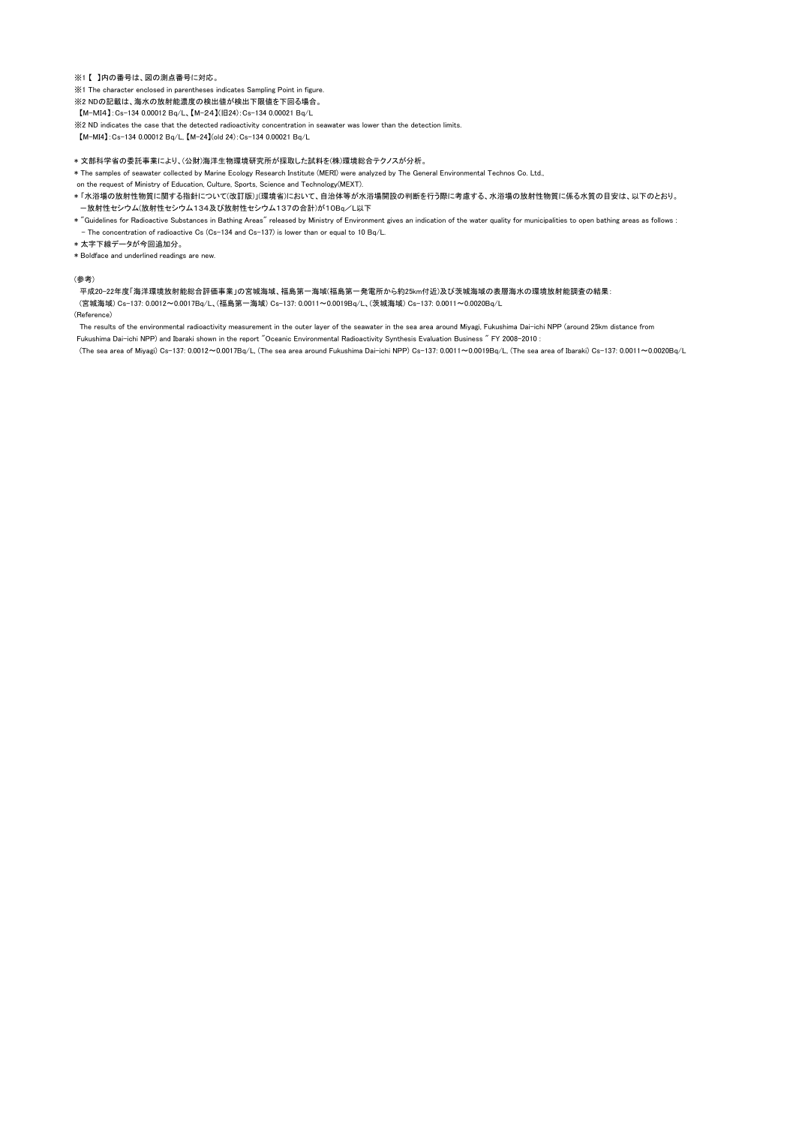## ※1 【 】内の番号は、図の測点番号に対応。

※1 The character enclosed in parentheses indicates Sampling Point in figure.

※2 NDの記載は、海水の放射能濃度の検出値が検出下限値を下回る場合。

【M-MI4】:Cs-134 0.00012 Bq/L、【M-24】(旧24):Cs-134 0.00021 Bq/L

※2 ND indicates the case that the detected radioactivity concentration in seawater was lower than the detection limits.

【M-MI4】:Cs-134 0.00012 Bq/L, 【M-24】(old 24):Cs-134 0.00021 Bq/L

### \* 文部科学省の委託事業により、(公財)海洋生物環境研究所が採取した試料を(株)環境総合テクノスが分析。

\* The samples of seawater collected by Marine Ecology Research Institute (MERI) were analyzed by The General Environmental Technos Co. Ltd.,

- \* 「水浴場の放射性物質に関する指針について(改訂版)」(環境省)において、自治体等が水浴場開設の判断を行う際に考慮する、水浴場の放射性物質に係る水質の目安は、以下のとおり。 -放射性セシウム(放射性セシウム134及び放射性セシウム137の合計)が10Bq/L以下 on the request of Ministry of Education, Culture, Sports, Science and Technology(MEXT).
- \* "Guidelines for Radioactive Substances in Bathing Areas" released by Ministry of Environment gives an indication of the water quality for municipalities to open bathing areas as follows : - The concentration of radioactive Cs (Cs-134 and Cs-137) is lower than or equal to 10 Bq/L.
- \* 太字下線データが今回追加分。

\* Boldface and underlined readings are new.

#### (参考)

平成20-22年度「海洋環境放射能総合評価事業」の宮城海域、福島第一海域(福島第一発電所から約25km付近)及び茨城海域の表層海水の環境放射能調査の結果:

(宮城海域) Cs-137: 0.0012~0.0017Bq/L、(福島第一海域) Cs-137: 0.0011~0.0019Bq/L、(茨城海域) Cs-137: 0.0011~0.0020Bq/L

(Reference)

The results of the environmental radioactivity measurement in the outer layer of the seawater in the sea area around Miyagi, Fukushima Dai-ichi NPP (around 25km distance from

Fukushima Dai-ichi NPP) and Ibaraki shown in the report "Oceanic Environmental Radioactivity Synthesis Evaluation Business " FY 2008-2010 :

(The sea area of Miyagi) Cs-137: 0.0012~0.0017Bq/L, (The sea area around Fukushima Dai-ichi NPP) Cs-137: 0.0011~0.0019Bq/L, (The sea area of Ibaraki) Cs-137: 0.0011~0.0020Bq/L